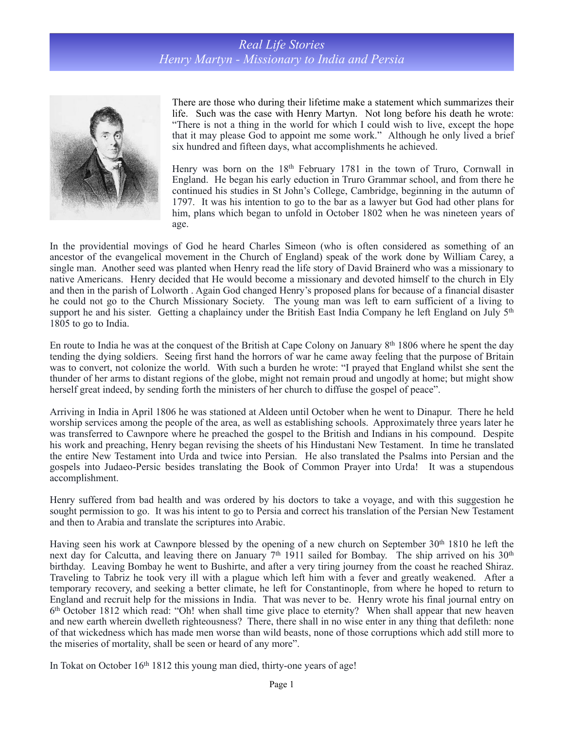## *Real Life Stories Henry Martyn - Missionary to India and Persia*



There are those who during their lifetime make a statement which summarizes their life. Such was the case with Henry Martyn. Not long before his death he wrote: "There is not a thing in the world for which I could wish to live, except the hope that it may please God to appoint me some work." Although he only lived a brief six hundred and fifteen days, what accomplishments he achieved.

Henry was born on the 18<sup>th</sup> February 1781 in the town of Truro, Cornwall in England. He began his early eduction in Truro Grammar school, and from there he continued his studies in St John's College, Cambridge, beginning in the autumn of 1797. It was his intention to go to the bar as a lawyer but God had other plans for him, plans which began to unfold in October 1802 when he was nineteen years of age.

In the providential movings of God he heard Charles Simeon (who is often considered as something of an ancestor of the [evangelical](http://en.wikipedia.org/wiki/Evangelicalism) movement in the Church of England) speak of the work done by William Carey, a single man. Another seed was planted when Henry read the life story of David Brainerd who was a missionary to native Americans. Henry decided that He would become a missionary and devoted himself to the church in Ely and then in the parish of Lolworth . Again God changed Henry's proposed plans for because of a financial disaster he could not go to the Church Missionary Society. The young man was left to earn sufficient of a living to support he and his sister. Getting a chaplaincy under the British East India Company he left England on July 5<sup>th</sup> 1805 to go to India.

En route to India he was at the conquest of the British at Cape Colony on January 8th 1806 where he spent the day tending the dying soldiers. Seeing first hand the horrors of war he came away feeling that the purpose of Britain was to convert, not colonize the world. With such a burden he wrote: "I prayed that England whilst she sent the thunder of her arms to distant regions of the globe, might not remain proud and ungodly at home; but might show herself great indeed, by sending forth the ministers of her church to diffuse the gospel of peace".

Arriving in India in April 1806 he was stationed at Aldeen until October when he went to Dinapur. There he held worship services among the people of the area, as well as establishing schools. Approximately three years later he was transferred to Cawnpore where he preached the gospel to the British and Indians in his compound. Despite his work and preaching, Henry began revising the sheets of his Hindustani New Testament. In time he translated the entire New Testament into Urda and twice into Persian. He also translated the Psalms into Persian and the gospels into Judaeo-Persic besides translating the Book of Common Prayer into Urda! It was a stupendous accomplishment.

Henry suffered from bad health and was ordered by his doctors to take a voyage, and with this suggestion he sought permission to go. It was his intent to go to Persia and correct his translation of the Persian New Testament and then to Arabia and translate the scriptures into Arabic.

Having seen his work at Cawnpore blessed by the opening of a new church on September 30<sup>th</sup> 1810 he left the next day for Calcutta, and leaving there on January 7<sup>th</sup> 1911 sailed for Bombay. The ship arrived on his 30<sup>th</sup> birthday. Leaving Bombay he went to Bushirte, and after a very tiring journey from the coast he reached Shiraz. Traveling to Tabriz he took very ill with a plague which left him with a fever and greatly weakened. After a temporary recovery, and seeking a better climate, he left for Constantinople, from where he hoped to return to England and recruit help for the missions in India. That was never to be. Henry wrote his final journal entry on 6th October 1812 which read: "Oh! when shall time give place to eternity? When shall appear that new heaven and new earth wherein dwelleth righteousness? There, there shall in no wise enter in any thing that defileth: none of that wickedness which has made men worse than wild beasts, none of those corruptions which add still more to the miseries of mortality, shall be seen or heard of any more".

In Tokat on October 16th 1812 this young man died, thirty-one years of age!